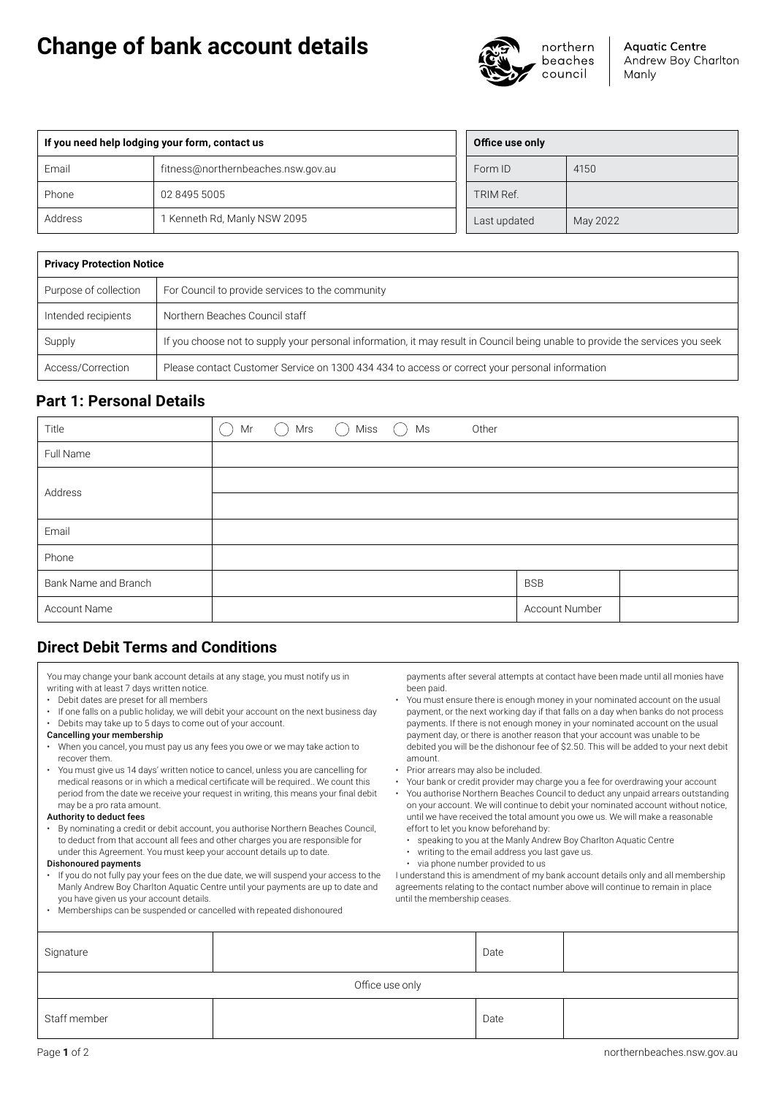# **Change of bank account details**



**Aquatic Centre** Andrew Boy Charlton Manly

| If you need help lodging your form, contact us |                                    |              | Office use only |          |  |
|------------------------------------------------|------------------------------------|--------------|-----------------|----------|--|
| Email                                          | fitness@northernbeaches.nsw.gov.au | Form ID      |                 | 4150     |  |
| Phone                                          | 02 8495 5005                       | TRIM Ref.    |                 |          |  |
| Address                                        | I Kenneth Rd, Manly NSW 2095       | Last updated |                 | May 2022 |  |

| <b>Privacy Protection Notice</b> |                                                                                                                               |  |  |  |
|----------------------------------|-------------------------------------------------------------------------------------------------------------------------------|--|--|--|
| Purpose of collection            | For Council to provide services to the community                                                                              |  |  |  |
| Intended recipients              | Northern Beaches Council staff                                                                                                |  |  |  |
| Supply                           | If you choose not to supply your personal information, it may result in Council being unable to provide the services you seek |  |  |  |
| Access/Correction                | Please contact Customer Service on 1300 434 434 to access or correct your personal information                                |  |  |  |

# **Part 1: Personal Details**

| Title                | Mr<br>- 1 | $\bigcirc$ Mrs | $\bigcap$ Miss $\bigcap$ Ms | Other |                |  |
|----------------------|-----------|----------------|-----------------------------|-------|----------------|--|
| Full Name            |           |                |                             |       |                |  |
|                      |           |                |                             |       |                |  |
| Address              |           |                |                             |       |                |  |
| Email                |           |                |                             |       |                |  |
| Phone                |           |                |                             |       |                |  |
| Bank Name and Branch |           |                |                             |       | <b>BSB</b>     |  |
| Account Name         |           |                |                             |       | Account Number |  |

# **Direct Debit Terms and Conditions**

| You may change your bank account details at any stage, you must notify us in |  |
|------------------------------------------------------------------------------|--|
| writing with at least 7 days written notice.                                 |  |

- Debit dates are preset for all members
- If one falls on a public holiday, we will debit your account on the next business day
- Debits may take up to 5 days to come out of your account.
- Cancelling your membership
- When you cancel, you must pay us any fees you owe or we may take action to recover them.
- You must give us 14 days' written notice to cancel, unless you are cancelling for medical reasons or in which a medical certificate will be required.. We count this period from the date we receive your request in writing, this means your final debit may be a pro rata amount.

# Authority to deduct fees

• By nominating a credit or debit account, you authorise Northern Beaches Council, to deduct from that account all fees and other charges you are responsible for under this Agreement. You must keep your account details up to date.

# Dishonoured payments

- If you do not fully pay your fees on the due date, we will suspend your access to the Manly Andrew Boy Charlton Aquatic Centre until your payments are up to date and you have given us your account details.
- Memberships can be suspended or cancelled with repeated dishonoured

payments after several attempts at contact have been made until all monies have been paid.

- You must ensure there is enough money in your nominated account on the usual payment, or the next working day if that falls on a day when banks do not process payments. If there is not enough money in your nominated account on the usual payment day, or there is another reason that your account was unable to be debited you will be the dishonour fee of \$2.50. This will be added to your next debit amount.
- Prior arrears may also be included.
- Your bank or credit provider may charge you a fee for overdrawing your account • You authorise Northern Beaches Council to deduct any unpaid arrears outstanding on your account. We will continue to debit your nominated account without notice, until we have received the total amount you owe us. We will make a reasonable
	- effort to let you know beforehand by:
	- speaking to you at the Manly Andrew Boy Charlton Aquatic Centre • writing to the email address you last gave us.
	- via phone number provided to us

I understand this is amendment of my bank account details only and all membership agreements relating to the contact number above will continue to remain in place until the membership ceases.

| Signature       |  | Date |  |  |  |
|-----------------|--|------|--|--|--|
| Office use only |  |      |  |  |  |
| Staff member    |  | Date |  |  |  |